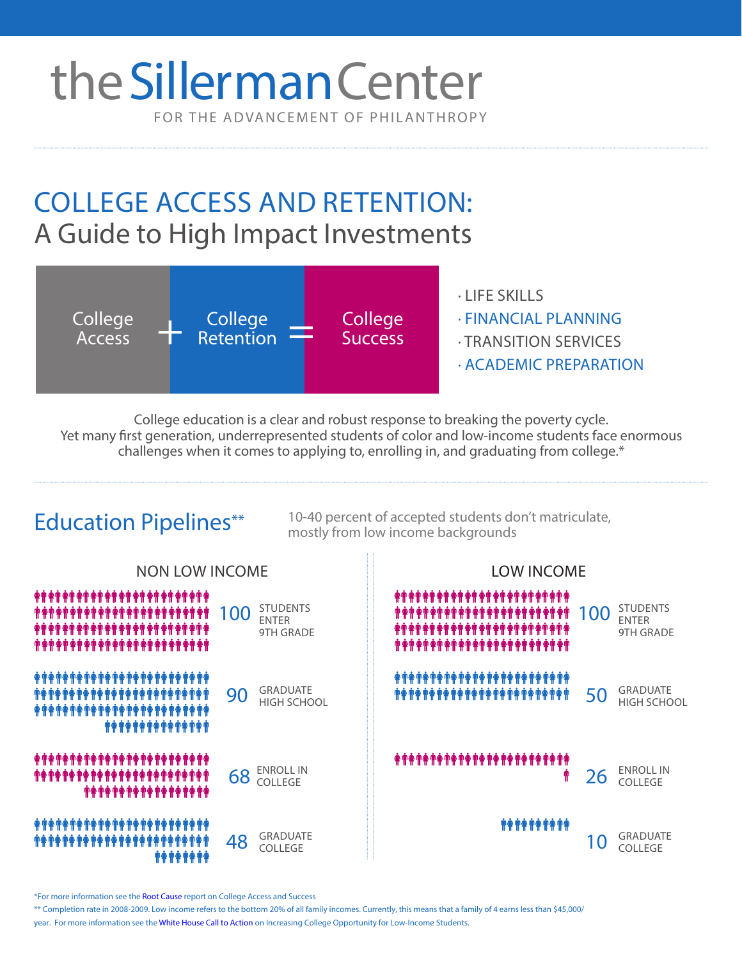# FOR THE ADVANCEMENT OF PHILANTHROPY theSillerman Center

## COLLEGE ACCESS AND RETENTION: A Guide to High Impact Investments



College education is a clear and robust response to breaking the poverty cycle. Yet many first generation, underrepresented students of color and low-income students face enormous challenges when it comes to applying to, enrolling in, and graduating from college.\*

#### 10-40 percent of accepted students don't matriculate, Education Pipelines\*\* mostly from low income backgrounds NON LOW INCOME LOW INCOME ####################### **STUDENTS STUDENTS** 100 STUDENTS **TANAGEMENT AND THE PROPERTY OF THE PROPERTY OF THE PROPERTY** \*\*\*\*\*\*\*\*\*\*\*\*\*\*\*\*\*\*\* ENTER ENTER 9TH GRADE 9TH GRADE \*\*\*\*\*\*\*\*\*\*\*\*\*\*\* GRADUATE  $90$  GRADUATE **The Manufalson Set is a set of the Manufalson Set is a set of the Set is a set of the Set is a set of the Set is a set of the Set is a set of the Set is a set of the Set is a set of the Set is a set of the** GRADUATE HIGH SCHOOL HIGH SCHOOL \*\*\*\*\*\*\* \*\*\*\*\*\*\*\*\*\*\*\*\*\*\*\*\*\*\*\*\*\*\*\* ENROLL IN ENROLL IN 68 ENROLLIN **1** 26 **COLLEGE** #^############### *MARAMARA* **\*\*\*\*\*\*\*\*\*\*\*\*\*\*\***\* GRADUATE GRADUATE  $48$   $\frac{GRADUATE}{COLLEGE}$  ( COLLEGE COLLEGE

\* For more information see the [Root Cause report on College Access and Success](http://www.rootcause.org/resources2/college-access-and-success) 

\*\* Completion rate in 2008-2009. Low income refers to the bottom 20% of all family incomes. Currently, this means that a family of 4 earns less than \$45,000/

year. For more information s[ee the White House Call to A](http://www.whitehouse.gov/sites/default/files/docs/white_house_report_on_increasing_college_opportunity_for_low-income_students_1-16-2014_final.pdf)ction on Increasing College Opportunity for Low-Income Students.